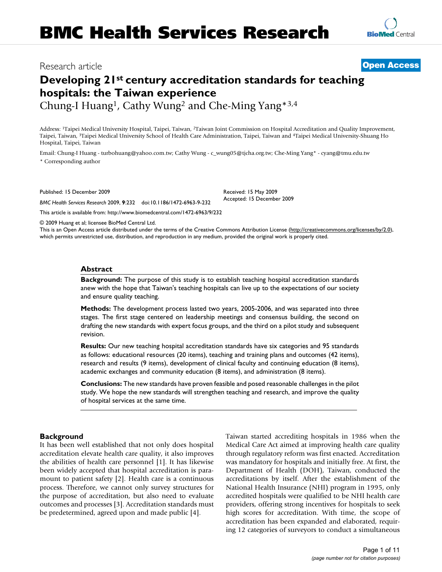# **Developing 21st century accreditation standards for teaching hospitals: the Taiwan experience** Chung-I Huang1, Cathy Wung2 and Che-Ming Yang\*3,4

Address: 1Taipei Medical University Hospital, Taipei, Taiwan, 2Taiwan Joint Commission on Hospital Accreditation and Quality Improvement, Taipei, Taiwan, <sup>3</sup>Taipei Medical University School of Health Care Administration, Taipei, Taiwan and <sup>4</sup>Taipei Medical University-Shuang Ho Hospital, Taipei, Taiwan

Email: Chung-I Huang - turbohuang@yahoo.com.tw; Cathy Wung - c\_wung05@tjcha.org.tw; Che-Ming Yang\* - cyang@tmu.edu.tw \* Corresponding author

Published: 15 December 2009

*BMC Health Services Research* 2009, **9**:232 doi:10.1186/1472-6963-9-232

[This article is available from: http://www.biomedcentral.com/1472-6963/9/232](http://www.biomedcentral.com/1472-6963/9/232)

© 2009 Huang et al; licensee BioMed Central Ltd.

This is an Open Access article distributed under the terms of the Creative Commons Attribution License [\(http://creativecommons.org/licenses/by/2.0\)](http://creativecommons.org/licenses/by/2.0), which permits unrestricted use, distribution, and reproduction in any medium, provided the original work is properly cited.

#### **Abstract**

**Background:** The purpose of this study is to establish teaching hospital accreditation standards anew with the hope that Taiwan's teaching hospitals can live up to the expectations of our society and ensure quality teaching.

**Methods:** The development process lasted two years, 2005-2006, and was separated into three stages. The first stage centered on leadership meetings and consensus building, the second on drafting the new standards with expert focus groups, and the third on a pilot study and subsequent revision.

**Results:** Our new teaching hospital accreditation standards have six categories and 95 standards as follows: educational resources (20 items), teaching and training plans and outcomes (42 items), research and results (9 items), development of clinical faculty and continuing education (8 items), academic exchanges and community education (8 items), and administration (8 items).

**Conclusions:** The new standards have proven feasible and posed reasonable challenges in the pilot study. We hope the new standards will strengthen teaching and research, and improve the quality of hospital services at the same time.

#### **Background**

It has been well established that not only does hospital accreditation elevate health care quality, it also improves the abilities of health care personnel [1]. It has likewise been widely accepted that hospital accreditation is paramount to patient safety [2]. Health care is a continuous process. Therefore, we cannot only survey structures for the purpose of accreditation, but also need to evaluate outcomes and processes [3]. Accreditation standards must be predetermined, agreed upon and made public [4].

Taiwan started accrediting hospitals in 1986 when the Medical Care Act aimed at improving health care quality through regulatory reform was first enacted. Accreditation was mandatory for hospitals and initially free. At first, the Department of Health (DOH), Taiwan, conducted the accreditations by itself. After the establishment of the National Health Insurance (NHI) program in 1995, only accredited hospitals were qualified to be NHI health care providers, offering strong incentives for hospitals to seek high scores for accreditation. With time, the scope of accreditation has been expanded and elaborated, requiring 12 categories of surveyors to conduct a simultaneous



# Research article **[Open Access](http://www.biomedcentral.com/info/about/charter/)**

Received: 15 May 2009 Accepted: 15 December 2009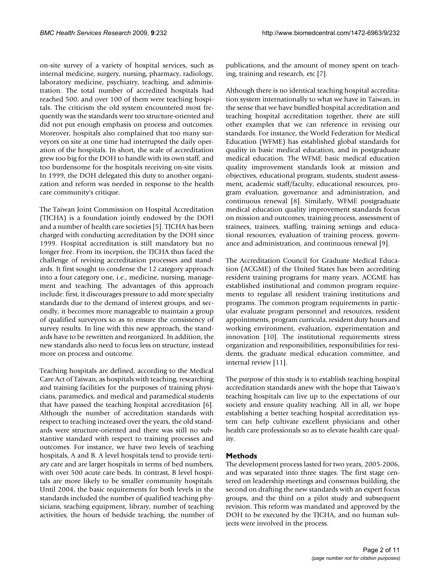on-site survey of a variety of hospital services, such as internal medicine, surgery, nursing, pharmacy, radiology, laboratory medicine, psychiatry, teaching, and administration. The total number of accredited hospitals had reached 500, and over 100 of them were teaching hospitals. The criticism the old system encountered most frequently was the standards were too structure-oriented and did not put enough emphasis on process and outcomes. Moreover, hospitals also complained that too many surveyors on site at one time had interrupted the daily operation of the hospitals. In short, the scale of accreditation grew too big for the DOH to handle with its own staff, and too burdensome for the hospitals receiving on-site visits. In 1999, the DOH delegated this duty to another organization and reform was needed in response to the health care community's critique.

The Taiwan Joint Commission on Hospital Accreditation (TJCHA) is a foundation jointly endowed by the DOH and a number of health care societies [5]. TJCHA has been charged with conducting accreditation by the DOH since 1999. Hospital accreditation is still mandatory but no longer free. From its inception, the TJCHA thus faced the challenge of revising accreditation processes and standards. It first sought to condense the 12 category approach into a four category one, i.e., medicine, nursing, management and teaching. The advantages of this approach include: first, it discourages pressure to add more specialty standards due to the demand of interest groups, and secondly, it becomes more manageable to maintain a group of qualified surveyors so as to ensure the consistency of survey results. In line with this new approach, the standards have to be rewritten and reorganized. In addition, the new standards also need to focus less on structure, instead more on process and outcome.

Teaching hospitals are defined, according to the Medical Care Act of Taiwan, as hospitals with teaching, researching and training facilities for the purposes of training physicians, paramedics, and medical and paramedical students that have passed the teaching hospital accreditation [6]. Although the number of accreditation standards with respect to teaching increased over the years, the old standards were structure-oriented and there was still no substantive standard with respect to training processes and outcomes. For instance, we have two levels of teaching hospitals, A and B. A level hospitals tend to provide tertiary care and are larger hospitals in terms of bed numbers, with over 500 acute care beds. In contrast, B level hospitals are more likely to be smaller community hospitals. Until 2004, the basic requirements for both levels in the standards included the number of qualified teaching physicians, teaching equipment, library, number of teaching activities, the hours of bedside teaching, the number of publications, and the amount of money spent on teaching, training and research, etc [7].

Although there is no identical teaching hospital accreditation system internationally to what we have in Taiwan, in the sense that we have bundled hospital accreditation and teaching hospital accreditation together, there are still other examples that we can reference in revising our standards. For instance, the World Federation for Medical Education (WFME) has established global standards for quality in basic medical education, and in postgraduate medical education. The WFME basic medical education quality improvement standards look at mission and objectives, educational program, students, student assessment, academic staff/faculty, educational resources, program evaluation, governance and administration, and continuous renewal [8]. Similarly, WFME postgraduate medical education quality improvement standards focus on mission and outcomes, training process, assessment of trainees, trainees, staffing, training settings and educational resources, evaluation of training process, governance and administration, and continuous renewal [9].

The Accreditation Council for Graduate Medical Education (ACGME) of the United States has been accrediting resident training programs for many years. ACGME has established institutional and common program requirements to regulate all resident training institutions and programs. The common program requirements in particular evaluate program personnel and resources, resident appointments, program curricula, resident duty hours and working environment, evaluation, experimentation and innovation [10]. The institutional requirements stress organization and responsibilities, responsibilities for residents, the graduate medical education committee, and internal review [11].

The purpose of this study is to establish teaching hospital accreditation standards anew with the hope that Taiwan's teaching hospitals can live up to the expectations of our society and ensure quality teaching. All in all, we hope establishing a better teaching hospital accreditation system can help cultivate excellent physicians and other health care professionals so as to elevate health care quality.

#### **Methods**

The development process lasted for two years, 2005-2006, and was separated into three stages. The first stage centered on leadership meetings and consensus building, the second on drafting the new standards with an expert focus groups, and the third on a pilot study and subsequent revision. This reform was mandated and approved by the DOH to be executed by the TJCHA, and no human subjects were involved in the process.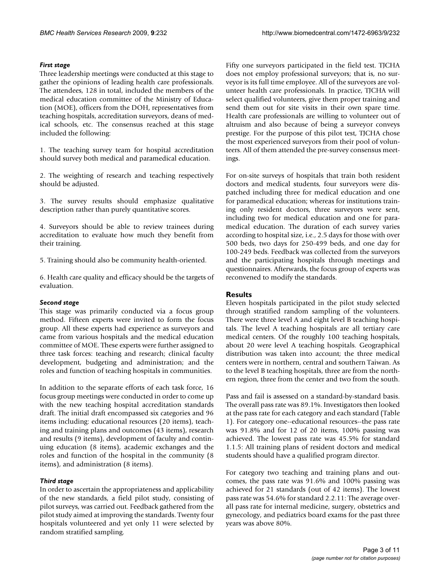#### *First stage*

Three leadership meetings were conducted at this stage to gather the opinions of leading health care professionals. The attendees, 128 in total, included the members of the medical education committee of the Ministry of Education (MOE), officers from the DOH, representatives from teaching hospitals, accreditation surveyors, deans of medical schools, etc. The consensus reached at this stage included the following:

1. The teaching survey team for hospital accreditation should survey both medical and paramedical education.

2. The weighting of research and teaching respectively should be adjusted.

3. The survey results should emphasize qualitative description rather than purely quantitative scores.

4. Surveyors should be able to review trainees during accreditation to evaluate how much they benefit from their training.

5. Training should also be community health-oriented.

6. Health care quality and efficacy should be the targets of evaluation.

#### *Second stage*

This stage was primarily conducted via a focus group method. Fifteen experts were invited to form the focus group. All these experts had experience as surveyors and came from various hospitals and the medical education committee of MOE. These experts were further assigned to three task forces: teaching and research; clinical faculty development, budgeting and administration; and the roles and function of teaching hospitals in communities.

In addition to the separate efforts of each task force, 16 focus group meetings were conducted in order to come up with the new teaching hospital accreditation standards draft. The initial draft encompassed six categories and 96 items including: educational resources (20 items), teaching and training plans and outcomes (43 items), research and results (9 items), development of faculty and continuing education (8 items), academic exchanges and the roles and function of the hospital in the community (8 items), and administration (8 items).

# *Third stage*

In order to ascertain the appropriateness and applicability of the new standards, a field pilot study, consisting of pilot surveys, was carried out. Feedback gathered from the pilot study aimed at improving the standards. Twenty four hospitals volunteered and yet only 11 were selected by random stratified sampling.

Fifty one surveyors participated in the field test. TJCHA does not employ professional surveyors; that is, no surveyor is its full time employee. All of the surveyors are volunteer health care professionals. In practice, TJCHA will select qualified volunteers, give them proper training and send them out for site visits in their own spare time. Health care professionals are willing to volunteer out of altruism and also because of being a surveyor conveys prestige. For the purpose of this pilot test, TJCHA chose the most experienced surveyors from their pool of volunteers. All of them attended the pre-survey consensus meetings.

For on-site surveys of hospitals that train both resident doctors and medical students, four surveyors were dispatched including three for medical education and one for paramedical education; whereas for institutions training only resident doctors, three surveyors were sent, including two for medical education and one for paramedical education. The duration of each survey varies according to hospital size, i.e., 2.5 days for those with over 500 beds, two days for 250-499 beds, and one day for 100-249 beds. Feedback was collected from the surveyors and the participating hospitals through meetings and questionnaires. Afterwards, the focus group of experts was reconvened to modify the standards.

# **Results**

Eleven hospitals participated in the pilot study selected through stratified random sampling of the volunteers. There were three level A and eight level B teaching hospitals. The level A teaching hospitals are all tertiary care medical centers. Of the roughly 100 teaching hospitals, about 20 were level A teaching hospitals. Geographical distribution was taken into account; the three medical centers were in northern, central and southern Taiwan. As to the level B teaching hospitals, three are from the northern region, three from the center and two from the south.

Pass and fail is assessed on a standard-by-standard basis. The overall pass rate was 89.1%. Investigators then looked at the pass rate for each category and each standard (Table 1). For category one--educational resources--the pass rate was 91.8% and for 12 of 20 items, 100% passing was achieved. The lowest pass rate was 45.5% for standard 1.1.5: All training plans of resident doctors and medical students should have a qualified program director.

For category two teaching and training plans and outcomes, the pass rate was 91.6% and 100% passing was achieved for 21 standards (out of 42 items). The lowest pass rate was 54.6% for standard 2.2.11: The average overall pass rate for internal medicine, surgery, obstetrics and gynecology, and pediatrics board exams for the past three years was above 80%.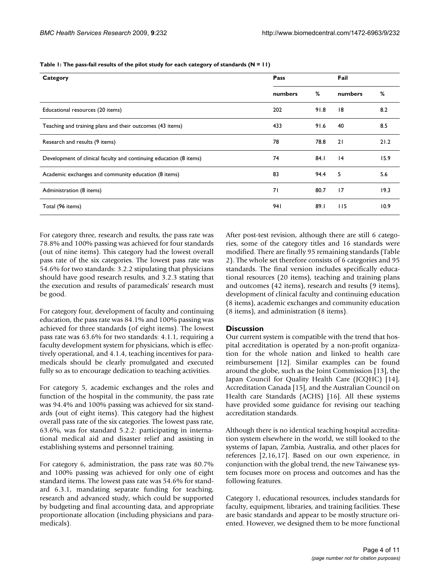| Category                                                           | Pass    |      | Fail    |      |
|--------------------------------------------------------------------|---------|------|---------|------|
|                                                                    | numbers | %    | numbers | %    |
| Educational resources (20 items)                                   | 202     | 91.8 | 8       | 8.2  |
| Teaching and training plans and their outcomes (43 items)          | 433     | 91.6 | 40      | 8.5  |
| Research and results (9 items)                                     | 78      | 78.8 | 21      | 21.2 |
| Development of clinical faculty and continuing education (8 items) | 74      | 84.1 | 4       | 15.9 |
| Academic exchanges and community education (8 items)               | 83      | 94.4 | 5       | 5.6  |
| Administration (8 items)                                           | 71      | 80.7 | 17      | 19.3 |
| Total (96 items)                                                   | 941     | 89.1 | 115     | 10.9 |

**Table 1: The pass-fail results of the pilot study for each category of standards (N = 11)**

For category three, research and results, the pass rate was 78.8% and 100% passing was achieved for four standards (out of nine items). This category had the lowest overall pass rate of the six categories. The lowest pass rate was 54.6% for two standards: 3.2.2 stipulating that physicians should have good research results, and 3.2.3 stating that the execution and results of paramedicals' research must be good.

For category four, development of faculty and continuing education, the pass rate was 84.1% and 100% passing was achieved for three standards (of eight items). The lowest pass rate was 63.6% for two standards: 4.1.1, requiring a faculty development system for physicians, which is effectively operational, and 4.1.4, teaching incentives for paramedicals should be clearly promulgated and executed fully so as to encourage dedication to teaching activities.

For category 5, academic exchanges and the roles and function of the hospital in the community, the pass rate was 94.4% and 100% passing was achieved for six standards (out of eight items). This category had the highest overall pass rate of the six categories. The lowest pass rate, 63.6%, was for standard 5.2.2: participating in international medical aid and disaster relief and assisting in establishing systems and personnel training.

For category 6, administration, the pass rate was 80.7% and 100% passing was achieved for only one of eight standard items. The lowest pass rate was 54.6% for standard 6.3.1, mandating separate funding for teaching, research and advanced study, which could be supported by budgeting and final accounting data, and appropriate proportionate allocation (including physicians and paramedicals).

After post-test revision, although there are still 6 categories, some of the category titles and 16 standards were modified. There are finally 95 remaining standards (Table 2). The whole set therefore consists of 6 categories and 95 standards. The final version includes specifically educational resources (20 items), teaching and training plans and outcomes (42 items), research and results (9 items), development of clinical faculty and continuing education (8 items), academic exchanges and community education (8 items), and administration (8 items).

# **Discussion**

Our current system is compatible with the trend that hospital accreditation is operated by a non-profit organization for the whole nation and linked to health care reimbursement [12]. Similar examples can be found around the globe, such as the Joint Commission [13], the Japan Council for Quality Health Care (JCQHC) [14], Accreditation Canada [15], and the Australian Council on Health care Standards (ACHS) [16]. All these systems have provided some guidance for revising our teaching accreditation standards.

Although there is no identical teaching hospital accreditation system elsewhere in the world, we still looked to the systems of Japan, Zambia, Australia, and other places for references [2,16,17]. Based on our own experience, in conjunction with the global trend, the new Taiwanese system focuses more on process and outcomes and has the following features.

Category 1, educational resources, includes standards for faculty, equipment, libraries, and training facilities. These are basic standards and appear to be mostly structure oriented. However, we designed them to be more functional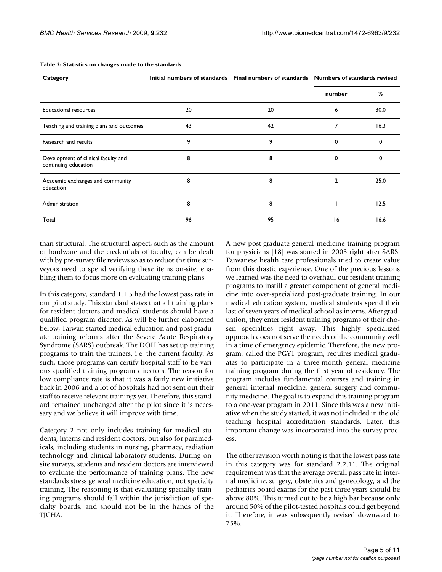| Category                                                    |    |    | Initial numbers of standards Final numbers of standards Numbers of standards revised |      |
|-------------------------------------------------------------|----|----|--------------------------------------------------------------------------------------|------|
|                                                             |    |    | number                                                                               | %    |
| <b>Educational resources</b>                                | 20 | 20 | 6                                                                                    | 30.0 |
| Teaching and training plans and outcomes                    | 43 | 42 | 7                                                                                    | 16.3 |
| Research and results                                        | 9  | 9  | 0                                                                                    | 0    |
| Development of clinical faculty and<br>continuing education | 8  | 8  | $\Omega$                                                                             | 0    |
| Academic exchanges and community<br>education               | 8  | 8  | 2                                                                                    | 25.0 |
| Administration                                              | 8  | 8  |                                                                                      | 12.5 |
| Total                                                       | 96 | 95 | 16                                                                                   | 16.6 |

#### **Table 2: Statistics on changes made to the standards**

than structural. The structural aspect, such as the amount of hardware and the credentials of faculty, can be dealt with by pre-survey file reviews so as to reduce the time surveyors need to spend verifying these items on-site, enabling them to focus more on evaluating training plans.

In this category, standard 1.1.5 had the lowest pass rate in our pilot study. This standard states that all training plans for resident doctors and medical students should have a qualified program director. As will be further elaborated below, Taiwan started medical education and post graduate training reforms after the Severe Acute Respiratory Syndrome (SARS) outbreak. The DOH has set up training programs to train the trainers, i.e. the current faculty. As such, those programs can certify hospital staff to be various qualified training program directors. The reason for low compliance rate is that it was a fairly new initiative back in 2006 and a lot of hospitals had not sent out their staff to receive relevant trainings yet. Therefore, this standard remained unchanged after the pilot since it is necessary and we believe it will improve with time.

Category 2 not only includes training for medical students, interns and resident doctors, but also for paramedicals, including students in nursing, pharmacy, radiation technology and clinical laboratory students. During onsite surveys, students and resident doctors are interviewed to evaluate the performance of training plans. The new standards stress general medicine education, not specialty training. The reasoning is that evaluating specialty training programs should fall within the jurisdiction of specialty boards, and should not be in the hands of the TJCHA.

A new post-graduate general medicine training program for physicians [18] was started in 2003 right after SARS. Taiwanese health care professionals tried to create value from this drastic experience. One of the precious lessons we learned was the need to overhaul our resident training programs to instill a greater component of general medicine into over-specialized post-graduate training. In our medical education system, medical students spend their last of seven years of medical school as interns. After graduation, they enter resident training programs of their chosen specialties right away. This highly specialized approach does not serve the needs of the community well in a time of emergency epidemic. Therefore, the new program, called the PGY1 program, requires medical graduates to participate in a three-month general medicine training program during the first year of residency. The program includes fundamental courses and training in general internal medicine, general surgery and community medicine. The goal is to expand this training program to a one-year program in 2011. Since this was a new initiative when the study started, it was not included in the old teaching hospital accreditation standards. Later, this important change was incorporated into the survey process.

The other revision worth noting is that the lowest pass rate in this category was for standard 2.2.11. The original requirement was that the average overall pass rate in internal medicine, surgery, obstetrics and gynecology, and the pediatrics board exams for the past three years should be above 80%. This turned out to be a high bar because only around 50% of the pilot-tested hospitals could get beyond it. Therefore, it was subsequently revised downward to 75%.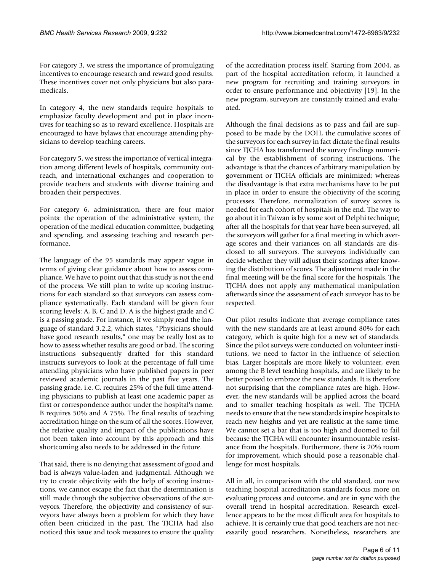For category 3, we stress the importance of promulgating incentives to encourage research and reward good results. These incentives cover not only physicians but also paramedicals.

In category 4, the new standards require hospitals to emphasize faculty development and put in place incentives for teaching so as to reward excellence. Hospitals are encouraged to have bylaws that encourage attending physicians to develop teaching careers.

For category 5, we stress the importance of vertical integration among different levels of hospitals, community outreach, and international exchanges and cooperation to provide teachers and students with diverse training and broaden their perspectives.

For category 6, administration, there are four major points: the operation of the administrative system, the operation of the medical education committee, budgeting and spending, and assessing teaching and research performance.

The language of the 95 standards may appear vague in terms of giving clear guidance about how to assess compliance. We have to point out that this study is not the end of the process. We still plan to write up scoring instructions for each standard so that surveyors can assess compliance systematically. Each standard will be given four scoring levels: A, B, C and D. A is the highest grade and C is a passing grade. For instance, if we simply read the language of standard 3.2.2, which states, "Physicians should have good research results," one may be really lost as to how to assess whether results are good or bad. The scoring instructions subsequently drafted for this standard instructs surveyors to look at the percentage of full time attending physicians who have published papers in peer reviewed academic journals in the past five years. The passing grade, i.e. C, requires 25% of the full time attending physicians to publish at least one academic paper as first or correspondence author under the hospital's name. B requires 50% and A 75%. The final results of teaching accreditation hinge on the sum of all the scores. However, the relative quality and impact of the publications have not been taken into account by this approach and this shortcoming also needs to be addressed in the future.

That said, there is no denying that assessment of good and bad is always value-laden and judgmental. Although we try to create objectivity with the help of scoring instructions, we cannot escape the fact that the determination is still made through the subjective observations of the surveyors. Therefore, the objectivity and consistency of surveyors have always been a problem for which they have often been criticized in the past. The TJCHA had also noticed this issue and took measures to ensure the quality of the accreditation process itself. Starting from 2004, as part of the hospital accreditation reform, it launched a new program for recruiting and training surveyors in order to ensure performance and objectivity [19]. In the new program, surveyors are constantly trained and evaluated.

Although the final decisions as to pass and fail are supposed to be made by the DOH, the cumulative scores of the surveyors for each survey in fact dictate the final results since TJCHA has transformed the survey findings numerical by the establishment of scoring instructions. The advantage is that the chances of arbitrary manipulation by government or TJCHA officials are minimized; whereas the disadvantage is that extra mechanisms have to be put in place in order to ensure the objectivity of the scoring processes. Therefore, normalization of survey scores is needed for each cohort of hospitals in the end. The way to go about it in Taiwan is by some sort of Delphi technique; after all the hospitals for that year have been surveyed, all the surveyors will gather for a final meeting in which average scores and their variances on all standards are disclosed to all surveyors. The surveyors individually can decide whether they will adjust their scorings after knowing the distribution of scores. The adjustment made in the final meeting will be the final score for the hospitals. The TJCHA does not apply any mathematical manipulation afterwards since the assessment of each surveyor has to be respected.

Our pilot results indicate that average compliance rates with the new standards are at least around 80% for each category, which is quite high for a new set of standards. Since the pilot surveys were conducted on volunteer institutions, we need to factor in the influence of selection bias. Larger hospitals are more likely to volunteer, even among the B level teaching hospitals, and are likely to be better poised to embrace the new standards. It is therefore not surprising that the compliance rates are high. However, the new standards will be applied across the board and to smaller teaching hospitals as well. The TJCHA needs to ensure that the new standards inspire hospitals to reach new heights and yet are realistic at the same time. We cannot set a bar that is too high and doomed to fail because the TJCHA will encounter insurmountable resistance from the hospitals. Furthermore, there is 20% room for improvement, which should pose a reasonable challenge for most hospitals.

All in all, in comparison with the old standard, our new teaching hospital accreditation standards focus more on evaluating process and outcome, and are in sync with the overall trend in hospital accreditation. Research excellence appears to be the most difficult area for hospitals to achieve. It is certainly true that good teachers are not necessarily good researchers. Nonetheless, researchers are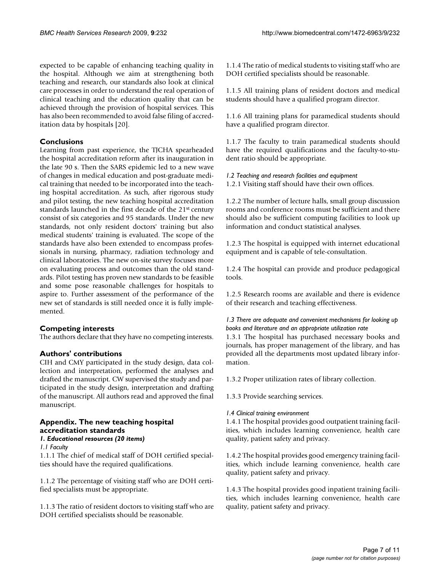expected to be capable of enhancing teaching quality in the hospital. Although we aim at strengthening both teaching and research, our standards also look at clinical care processes in order to understand the real operation of clinical teaching and the education quality that can be achieved through the provision of hospital services. This has also been recommended to avoid false filing of accreditation data by hospitals [20].

# **Conclusions**

Learning from past experience, the TJCHA spearheaded the hospital accreditation reform after its inauguration in the late 90 s. Then the SARS epidemic led to a new wave of changes in medical education and post-graduate medical training that needed to be incorporated into the teaching hospital accreditation. As such, after rigorous study and pilot testing, the new teaching hospital accreditation standards launched in the first decade of the 21st century consist of six categories and 95 standards. Under the new standards, not only resident doctors' training but also medical students' training is evaluated. The scope of the standards have also been extended to encompass professionals in nursing, pharmacy, radiation technology and clinical laboratories. The new on-site survey focuses more on evaluating process and outcomes than the old standards. Pilot testing has proven new standards to be feasible and some pose reasonable challenges for hospitals to aspire to. Further assessment of the performance of the new set of standards is still needed once it is fully implemented.

# **Competing interests**

The authors declare that they have no competing interests.

# **Authors' contributions**

CIH and CMY participated in the study design, data collection and interpretation, performed the analyses and drafted the manuscript. CW supervised the study and participated in the study design, interpretation and drafting of the manuscript. All authors read and approved the final manuscript.

# **Appendix. The new teaching hospital accreditation standards**

#### *1. Educational resources (20 items) 1.1 Faculty*

1.1.1 The chief of medical staff of DOH certified specialties should have the required qualifications.

1.1.2 The percentage of visiting staff who are DOH certified specialists must be appropriate.

1.1.3 The ratio of resident doctors to visiting staff who are DOH certified specialists should be reasonable.

1.1.4 The ratio of medical students to visiting staff who are DOH certified specialists should be reasonable.

1.1.5 All training plans of resident doctors and medical students should have a qualified program director.

1.1.6 All training plans for paramedical students should have a qualified program director.

1.1.7 The faculty to train paramedical students should have the required qualifications and the faculty-to-student ratio should be appropriate.

*1.2 Teaching and research facilities and equipment* 1.2.1 Visiting staff should have their own offices.

1.2.2 The number of lecture halls, small group discussion rooms and conference rooms must be sufficient and there should also be sufficient computing facilities to look up information and conduct statistical analyses.

1.2.3 The hospital is equipped with internet educational equipment and is capable of tele-consultation.

1.2.4 The hospital can provide and produce pedagogical tools.

1.2.5 Research rooms are available and there is evidence of their research and teaching effectiveness.

# *1.3 There are adequate and convenient mechanisms for looking up books and literature and an appropriate utilization rate*

1.3.1 The hospital has purchased necessary books and journals, has proper management of the library, and has provided all the departments most updated library information.

1.3.2 Proper utilization rates of library collection.

1.3.3 Provide searching services.

#### *1.4 Clinical training environment*

1.4.1 The hospital provides good outpatient training facilities, which includes learning convenience, health care quality, patient safety and privacy.

1.4.2 The hospital provides good emergency training facilities, which include learning convenience, health care quality, patient safety and privacy.

1.4.3 The hospital provides good inpatient training facilities, which includes learning convenience, health care quality, patient safety and privacy.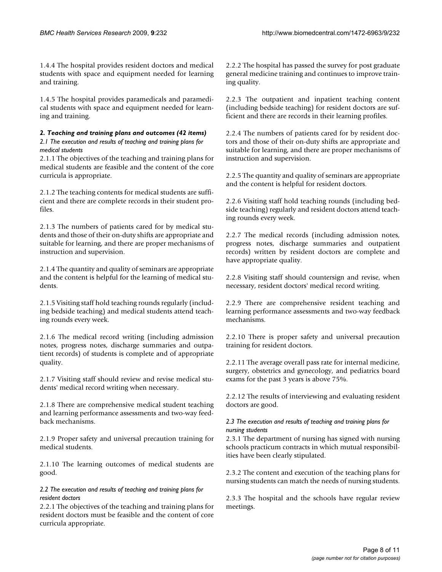1.4.4 The hospital provides resident doctors and medical students with space and equipment needed for learning and training.

1.4.5 The hospital provides paramedicals and paramedical students with space and equipment needed for learning and training.

#### *2. Teaching and training plans and outcomes (42 items) 2.1 The execution and results of teaching and training plans for medical students*

2.1.1 The objectives of the teaching and training plans for medical students are feasible and the content of the core curricula is appropriate.

2.1.2 The teaching contents for medical students are sufficient and there are complete records in their student profiles.

2.1.3 The numbers of patients cared for by medical students and those of their on-duty shifts are appropriate and suitable for learning, and there are proper mechanisms of instruction and supervision.

2.1.4 The quantity and quality of seminars are appropriate and the content is helpful for the learning of medical students.

2.1.5 Visiting staff hold teaching rounds regularly (including bedside teaching) and medical students attend teaching rounds every week.

2.1.6 The medical record writing (including admission notes, progress notes, discharge summaries and outpatient records) of students is complete and of appropriate quality.

2.1.7 Visiting staff should review and revise medical students' medical record writing when necessary.

2.1.8 There are comprehensive medical student teaching and learning performance assessments and two-way feedback mechanisms.

2.1.9 Proper safety and universal precaution training for medical students.

2.1.10 The learning outcomes of medical students are good.

# *2.2 The execution and results of teaching and training plans for resident doctors*

2.2.1 The objectives of the teaching and training plans for resident doctors must be feasible and the content of core curricula appropriate.

2.2.2 The hospital has passed the survey for post graduate general medicine training and continues to improve training quality.

2.2.3 The outpatient and inpatient teaching content (including bedside teaching) for resident doctors are sufficient and there are records in their learning profiles.

2.2.4 The numbers of patients cared for by resident doctors and those of their on-duty shifts are appropriate and suitable for learning, and there are proper mechanisms of instruction and supervision.

2.2.5 The quantity and quality of seminars are appropriate and the content is helpful for resident doctors.

2.2.6 Visiting staff hold teaching rounds (including bedside teaching) regularly and resident doctors attend teaching rounds every week.

2.2.7 The medical records (including admission notes, progress notes, discharge summaries and outpatient records) written by resident doctors are complete and have appropriate quality.

2.2.8 Visiting staff should countersign and revise, when necessary, resident doctors' medical record writing.

2.2.9 There are comprehensive resident teaching and learning performance assessments and two-way feedback mechanisms.

2.2.10 There is proper safety and universal precaution training for resident doctors.

2.2.11 The average overall pass rate for internal medicine, surgery, obstetrics and gynecology, and pediatrics board exams for the past 3 years is above 75%.

2.2.12 The results of interviewing and evaluating resident doctors are good.

# *2.3 The execution and results of teaching and training plans for nursing students*

2.3.1 The department of nursing has signed with nursing schools practicum contracts in which mutual responsibilities have been clearly stipulated.

2.3.2 The content and execution of the teaching plans for nursing students can match the needs of nursing students.

2.3.3 The hospital and the schools have regular review meetings.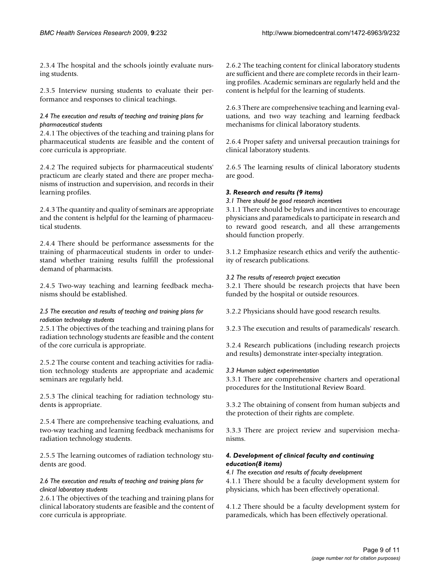2.3.4 The hospital and the schools jointly evaluate nursing students.

2.3.5 Interview nursing students to evaluate their performance and responses to clinical teachings.

# *2.4 The execution and results of teaching and training plans for pharmaceutical students*

2.4.1 The objectives of the teaching and training plans for pharmaceutical students are feasible and the content of core curricula is appropriate.

2.4.2 The required subjects for pharmaceutical students' practicum are clearly stated and there are proper mechanisms of instruction and supervision, and records in their learning profiles.

2.4.3 The quantity and quality of seminars are appropriate and the content is helpful for the learning of pharmaceutical students.

2.4.4 There should be performance assessments for the training of pharmaceutical students in order to understand whether training results fulfill the professional demand of pharmacists.

2.4.5 Two-way teaching and learning feedback mechanisms should be established.

#### *2.5 The execution and results of teaching and training plans for radiation technology students*

2.5.1 The objectives of the teaching and training plans for radiation technology students are feasible and the content of the core curricula is appropriate.

2.5.2 The course content and teaching activities for radiation technology students are appropriate and academic seminars are regularly held.

2.5.3 The clinical teaching for radiation technology students is appropriate.

2.5.4 There are comprehensive teaching evaluations, and two-way teaching and learning feedback mechanisms for radiation technology students.

2.5.5 The learning outcomes of radiation technology students are good.

# *2.6 The execution and results of teaching and training plans for clinical laboratory students*

2.6.1 The objectives of the teaching and training plans for clinical laboratory students are feasible and the content of core curricula is appropriate.

2.6.2 The teaching content for clinical laboratory students are sufficient and there are complete records in their learning profiles. Academic seminars are regularly held and the content is helpful for the learning of students.

2.6.3 There are comprehensive teaching and learning evaluations, and two way teaching and learning feedback mechanisms for clinical laboratory students.

2.6.4 Proper safety and universal precaution trainings for clinical laboratory students.

2.6.5 The learning results of clinical laboratory students are good.

# *3. Research and results (9 items)*

*3.1 There should be good research incentives*

3.1.1 There should be bylaws and incentives to encourage physicians and paramedicals to participate in research and to reward good research, and all these arrangements should function properly.

3.1.2 Emphasize research ethics and verify the authenticity of research publications.

#### *3.2 The results of research project execution*

3.2.1 There should be research projects that have been funded by the hospital or outside resources.

3.2.2 Physicians should have good research results.

3.2.3 The execution and results of paramedicals' research.

3.2.4 Research publications (including research projects and results) demonstrate inter-specialty integration.

#### *3.3 Human subject experimentation*

3.3.1 There are comprehensive charters and operational procedures for the Institutional Review Board.

3.3.2 The obtaining of consent from human subjects and the protection of their rights are complete.

3.3.3 There are project review and supervision mechanisms.

#### *4. Development of clinical faculty and continuing education(8 items)*

*4.1 The execution and results of faculty development*

4.1.1 There should be a faculty development system for physicians, which has been effectively operational.

4.1.2 There should be a faculty development system for paramedicals, which has been effectively operational.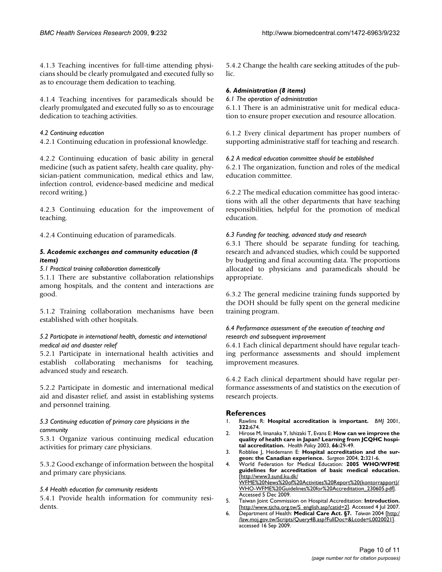4.1.3 Teaching incentives for full-time attending physicians should be clearly promulgated and executed fully so as to encourage them dedication to teaching.

4.1.4 Teaching incentives for paramedicals should be clearly promulgated and executed fully so as to encourage dedication to teaching activities.

#### *4.2 Continuing education*

4.2.1 Continuing education in professional knowledge.

4.2.2 Continuing education of basic ability in general medicine (such as patient safety, health care quality, physician-patient communication, medical ethics and law, infection control, evidence-based medicine and medical record writing.)

4.2.3 Continuing education for the improvement of teaching.

4.2.4 Continuing education of paramedicals.

#### *5. Academic exchanges and community education (8 items)*

#### *5.1 Practical training collaboration domestically*

5.1.1 There are substantive collaboration relationships among hospitals, and the content and interactions are good.

5.1.2 Training collaboration mechanisms have been established with other hospitals.

#### *5.2 Participate in international health, domestic and international medical aid and disaster relief*

5.2.1 Participate in international health activities and establish collaborating mechanisms for teaching, advanced study and research.

5.2.2 Participate in domestic and international medical aid and disaster relief, and assist in establishing systems and personnel training.

#### *5.3 Continuing education of primary care physicians in the community*

5.3.1 Organize various continuing medical education activities for primary care physicians.

5.3.2 Good exchange of information between the hospital and primary care physicians.

#### *5.4 Health education for community residents*

5.4.1 Provide health information for community residents.

5.4.2 Change the health care seeking attitudes of the public.

#### *6. Administration (8 items)*

#### *6.1 The operation of administration*

6.1.1 There is an administrative unit for medical education to ensure proper execution and resource allocation.

6.1.2 Every clinical department has proper numbers of supporting administrative staff for teaching and research.

#### *6.2 A medical education committee should be established*

6.2.1 The organization, function and roles of the medical education committee.

6.2.2 The medical education committee has good interactions with all the other departments that have teaching responsibilities, helpful for the promotion of medical education.

#### *6.3 Funding for teaching, advanced study and research*

6.3.1 There should be separate funding for teaching, research and advanced studies, which could be supported by budgeting and final accounting data. The proportions allocated to physicians and paramedicals should be appropriate.

6.3.2 The general medicine training funds supported by the DOH should be fully spent on the general medicine training program.

#### *6.4 Performance assessment of the execution of teaching and research and subsequent improvement*

6.4.1 Each clinical department should have regular teaching performance assessments and should implement improvement measures.

6.4.2 Each clinical department should have regular performance assessments of and statistics on the execution of research projects.

#### **References**

- 1. Rawlins R: **[Hospital accreditation is important.](http://www.ncbi.nlm.nih.gov/entrez/query.fcgi?cmd=Retrieve&db=PubMed&dopt=Abstract&list_uids=11291650)** *BMJ* 2001, **322:**674.
- 2. Hirose M, Imanaka Y, Ishizaki T, Evans E: **[How can we improve the](http://www.ncbi.nlm.nih.gov/entrez/query.fcgi?cmd=Retrieve&db=PubMed&dopt=Abstract&list_uids=14499164) [quality of health care in Japan? Learning from JCQHC hospi](http://www.ncbi.nlm.nih.gov/entrez/query.fcgi?cmd=Retrieve&db=PubMed&dopt=Abstract&list_uids=14499164)[tal accreditation.](http://www.ncbi.nlm.nih.gov/entrez/query.fcgi?cmd=Retrieve&db=PubMed&dopt=Abstract&list_uids=14499164)** *Health Policy* 2003, **66:**29-49.
- 3. Robblee J, Heidemann E: **[Hospital accreditation and the sur](http://www.ncbi.nlm.nih.gov/entrez/query.fcgi?cmd=Retrieve&db=PubMed&dopt=Abstract&list_uids=15712571)[geon: the Canadian experience.](http://www.ncbi.nlm.nih.gov/entrez/query.fcgi?cmd=Retrieve&db=PubMed&dopt=Abstract&list_uids=15712571)** *Surgeon* 2004, **2:**321-6.
- 4. World Federation for Medical Education: **2005 WHO/WFME guidelines for accreditation of basic medical education.** [[http://www3.sund.ku.dk/](http://www3.sund.ku.dk/WFME%20News%20of%20Activities%20Report%20(kontorrapport)/WHO-WFME%20Guidelines%20for%20Accreditation_230605.pdf) [WFME%20News%20of%20Activities%20Report%20\(kontorrapport\)/](http://www3.sund.ku.dk/WFME%20News%20of%20Activities%20Report%20(kontorrapport)/WHO-WFME%20Guidelines%20for%20Accreditation_230605.pdf) [WHO-WFME%20Guidelines%20for%20Accreditation\\_230605.pdf\]](http://www3.sund.ku.dk/WFME%20News%20of%20Activities%20Report%20(kontorrapport)/WHO-WFME%20Guidelines%20for%20Accreditation_230605.pdf). Accessed 5 Dec 2009.
- 5. Taiwan Joint Commission on Hospital Accreditation: **Introduction.** [[http://www.tjcha.org.tw/S\\_english.asp?catid=2](http://www.tjcha.org.tw/S_english.asp?catid=2)]. Accessed 4 Jul 2007.
- 6. Department of Health: **Medical Care Act. §7.** *Taiwan* 2004 [[http:/](http://law.moj.gov.tw/Scripts/Query4B.asp?FullDoc=&Lcode=L0020021) [/law.moj.gov.tw/Scripts/Query4B.asp?FullDoc=&Lcode=L0020021\]](http://law.moj.gov.tw/Scripts/Query4B.asp?FullDoc=&Lcode=L0020021). accessed 16 Sep 2009.